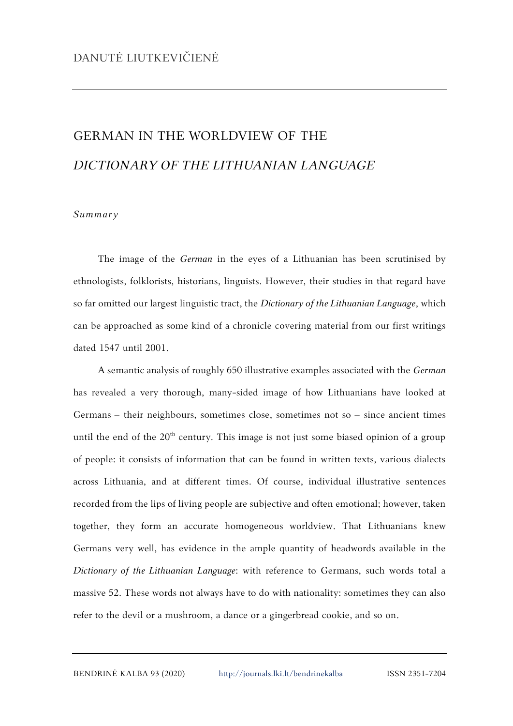## GERMAN IN THE WORLDVIEW OF THE *DICTIONARY OF THE LITHUANIAN LANGUAGE*

## *Summary*

The image of the *German* in the eyes of a Lithuanian has been scrutinised by ethnologists, folklorists, historians, linguists. However, their studies in that regard have so far omitted our largest linguistic tract, the *Dictionary of the Lithuanian Language*, which can be approached as some kind of a chronicle covering material from our first writings dated 1547 until 2001.

A semantic analysis of roughly 650 illustrative examples associated with the *German* has revealed a very thorough, many-sided image of how Lithuanians have looked at Germans – their neighbours, sometimes close, sometimes not so – since ancient times until the end of the  $20<sup>th</sup>$  century. This image is not just some biased opinion of a group of people: it consists of information that can be found in written texts, various dialects across Lithuania, and at different times. Of course, individual illustrative sentences recorded from the lips of living people are subjective and often emotional; however, taken together, they form an accurate homogeneous worldview. That Lithuanians knew Germans very well, has evidence in the ample quantity of headwords available in the *Dictionary of the Lithuanian Language*: with reference to Germans, such words total a massive 52. These words not always have to do with nationality: sometimes they can also refer to the devil or a mushroom, a dance or a gingerbread cookie, and so on.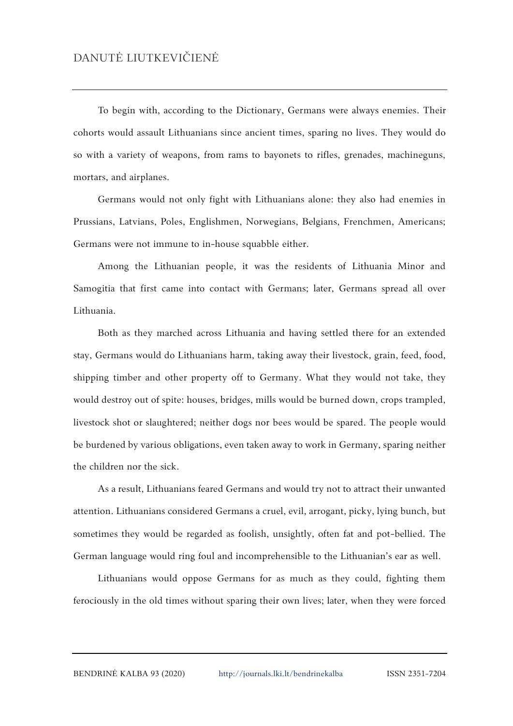To begin with, according to the Dictionary, Germans were always enemies. Their cohorts would assault Lithuanians since ancient times, sparing no lives. They would do so with a variety of weapons, from rams to bayonets to rifles, grenades, machineguns, mortars, and airplanes.

Germans would not only fight with Lithuanians alone: they also had enemies in Prussians, Latvians, Poles, Englishmen, Norwegians, Belgians, Frenchmen, Americans; Germans were not immune to in-house squabble either.

Among the Lithuanian people, it was the residents of Lithuania Minor and Samogitia that first came into contact with Germans; later, Germans spread all over Lithuania.

Both as they marched across Lithuania and having settled there for an extended stay, Germans would do Lithuanians harm, taking away their livestock, grain, feed, food, shipping timber and other property off to Germany. What they would not take, they would destroy out of spite: houses, bridges, mills would be burned down, crops trampled, livestock shot or slaughtered; neither dogs nor bees would be spared. The people would be burdened by various obligations, even taken away to work in Germany, sparing neither the children nor the sick.

As a result, Lithuanians feared Germans and would try not to attract their unwanted attention. Lithuanians considered Germans a cruel, evil, arrogant, picky, lying bunch, but sometimes they would be regarded as foolish, unsightly, often fat and pot-bellied. The German language would ring foul and incomprehensible to the Lithuanian's ear as well.

Lithuanians would oppose Germans for as much as they could, fighting them ferociously in the old times without sparing their own lives; later, when they were forced